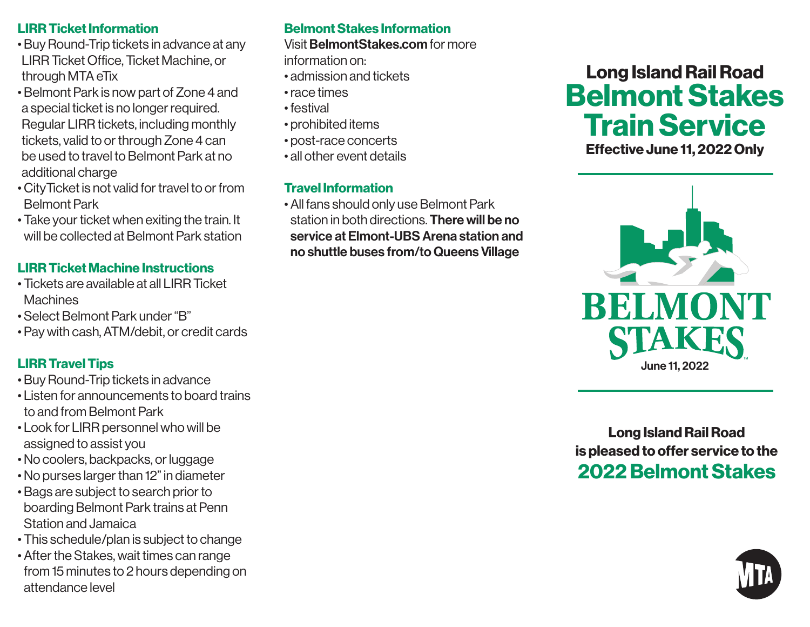#### LIRR Ticket Information

- Buy Round-Trip tickets in advance at any LIRR Ticket Office, Ticket Machine, or through MTA eTix
- Belmont Park is now part of Zone 4 and a special ticket is no longer required. Regular LIRR tickets, including monthly tickets, valid to or through Zone 4 can be used to travel to Belmont Park at no additional charge
- CityTicket is not valid for travel to or from Belmont Park
- Take your ticket when exiting the train. It will be collected at Belmont Park station

# LIRR Ticket Machine Instructions

- Tickets are available at all LIRR Ticket **Machines**
- Select Belmont Park under "B"
- Pay with cash, ATM/debit, or credit cards

# LIRR Travel Tips

- Buy Round-Trip tickets in advance
- Listen for announcements to board trains to and from Belmont Park
- Look for LIRR personnel who will be assigned to assist you
- No coolers, backpacks, or luggage
- No purses larger than 12" in diameter
- Bags are subject to search prior to boarding Belmont Park trains at Penn Station and Jamaica
- This schedule/plan is subject to change
- After the Stakes, wait times can range from 15 minutes to 2 hours depending on attendance level

# Belmont Stakes Information

Visit BelmontStakes.com for more

- information on:
- admission and tickets
- race times
- festival
- prohibited items
- post-race concerts
- all other event details

### Travel Information

• All fans should only use Belmont Park station in both directions. **There will be no** service at Elmont-UBS Arena station and no shuttle buses from/to Queens Village

# Long Island Rail Road Belmont Stakes Train Service

Effective June 11, 2022 Only



Long Island Rail Road is pleased to offer service to the 2022 Belmont Stakes